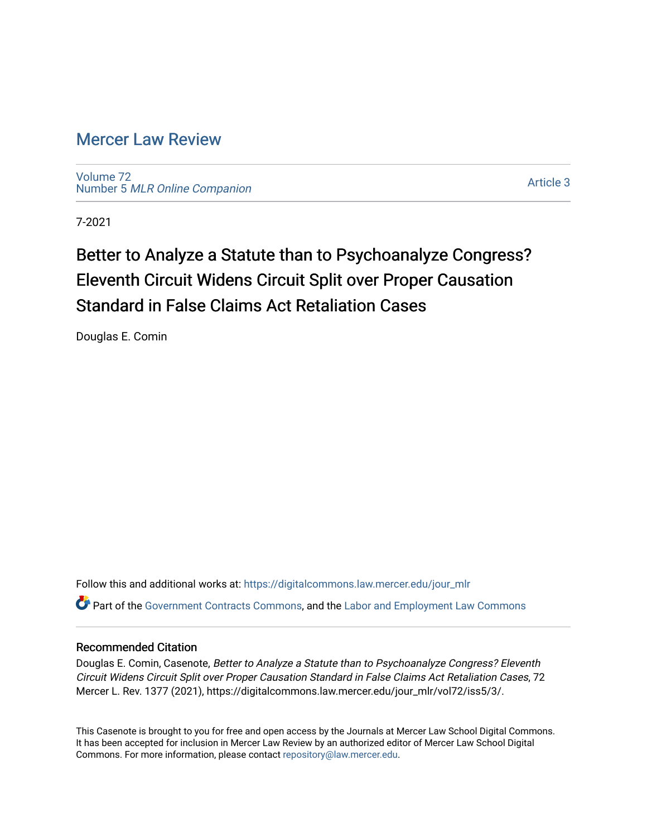# [Mercer Law Review](https://digitalcommons.law.mercer.edu/jour_mlr)

[Volume 72](https://digitalcommons.law.mercer.edu/jour_mlr/vol72) Number 5 [MLR Online Companion](https://digitalcommons.law.mercer.edu/jour_mlr/vol72/iss5) 

[Article 3](https://digitalcommons.law.mercer.edu/jour_mlr/vol72/iss5/3) 

7-2021

# Better to Analyze a Statute than to Psychoanalyze Congress? Eleventh Circuit Widens Circuit Split over Proper Causation Standard in False Claims Act Retaliation Cases

Douglas E. Comin

Follow this and additional works at: [https://digitalcommons.law.mercer.edu/jour\\_mlr](https://digitalcommons.law.mercer.edu/jour_mlr?utm_source=digitalcommons.law.mercer.edu%2Fjour_mlr%2Fvol72%2Fiss5%2F3&utm_medium=PDF&utm_campaign=PDFCoverPages) Part of the [Government Contracts Commons,](http://network.bepress.com/hgg/discipline/845?utm_source=digitalcommons.law.mercer.edu%2Fjour_mlr%2Fvol72%2Fiss5%2F3&utm_medium=PDF&utm_campaign=PDFCoverPages) and the [Labor and Employment Law Commons](http://network.bepress.com/hgg/discipline/909?utm_source=digitalcommons.law.mercer.edu%2Fjour_mlr%2Fvol72%2Fiss5%2F3&utm_medium=PDF&utm_campaign=PDFCoverPages) 

## Recommended Citation

Douglas E. Comin, Casenote, Better to Analyze a Statute than to Psychoanalyze Congress? Eleventh Circuit Widens Circuit Split over Proper Causation Standard in False Claims Act Retaliation Cases, 72 Mercer L. Rev. 1377 (2021), https://digitalcommons.law.mercer.edu/jour\_mlr/vol72/iss5/3/.

This Casenote is brought to you for free and open access by the Journals at Mercer Law School Digital Commons. It has been accepted for inclusion in Mercer Law Review by an authorized editor of Mercer Law School Digital Commons. For more information, please contact [repository@law.mercer.edu.](mailto:repository@law.mercer.edu)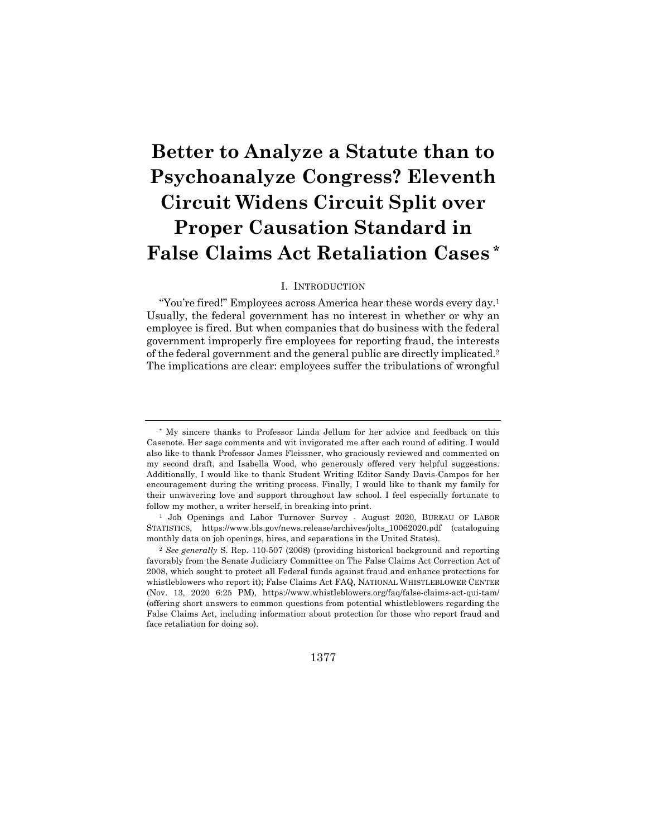# **Better to Analyze a Statute than to Psychoanalyze Congress? Eleventh Circuit Widens Circuit Split over Proper Causation Standard in False Claims Act Retaliation Cases \***

#### I. INTRODUCTION

"You're fired!" Employees across America hear these words every day.<sup>1</sup> Usually, the federal government has no interest in whether or why an employee is fired. But when companies that do business with the federal government improperly fire employees for reporting fraud, the interests of the federal government and the general public are directly implicated.2 The implications are clear: employees suffer the tribulations of wrongful

1377

<sup>\*</sup> My sincere thanks to Professor Linda Jellum for her advice and feedback on this Casenote. Her sage comments and wit invigorated me after each round of editing. I would also like to thank Professor James Fleissner, who graciously reviewed and commented on my second draft, and Isabella Wood, who generously offered very helpful suggestions. Additionally, I would like to thank Student Writing Editor Sandy Davis-Campos for her encouragement during the writing process. Finally, I would like to thank my family for their unwavering love and support throughout law school. I feel especially fortunate to follow my mother, a writer herself, in breaking into print.

<sup>&</sup>lt;sup>1</sup> Job Openings and Labor Turnover Survey - August 2020, BUREAU OF LABOR STATISTICS, https://www.bls.gov/news.release/archives/jolts\_10062020.pdf (cataloguing monthly data on job openings, hires, and separations in the United States).

<sup>2</sup> *See generally* S. Rep. 110-507 (2008) (providing historical background and reporting favorably from the Senate Judiciary Committee on The False Claims Act Correction Act of 2008, which sought to protect all Federal funds against fraud and enhance protections for whistleblowers who report it); False Claims Act FAQ, NATIONAL WHISTLEBLOWER CENTER (Nov. 13, 2020 6:25 PM), https://www.whistleblowers.org/faq/false-claims-act-qui-tam/ (offering short answers to common questions from potential whistleblowers regarding the False Claims Act, including information about protection for those who report fraud and face retaliation for doing so).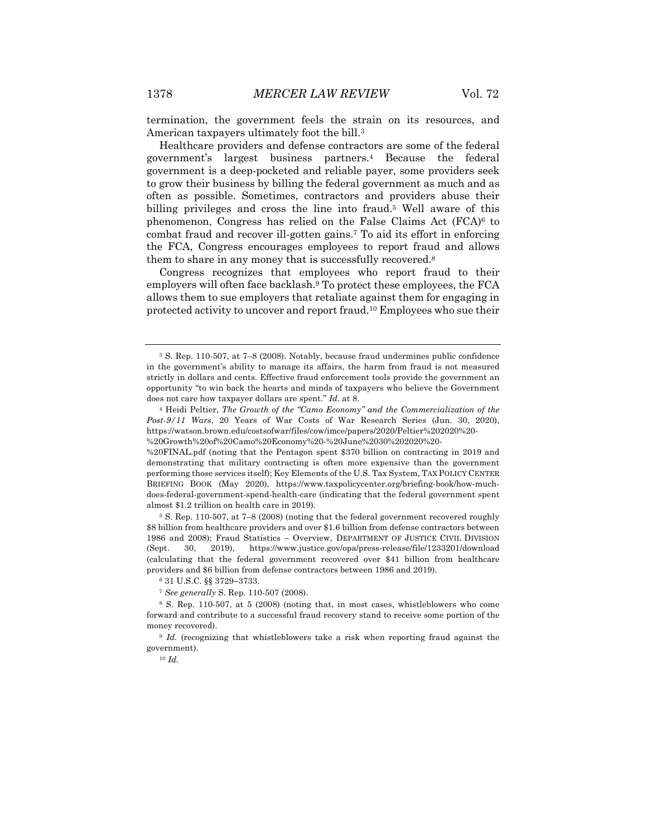termination, the government feels the strain on its resources, and American taxpayers ultimately foot the bill.3

Healthcare providers and defense contractors are some of the federal government's largest business partners.4 Because the federal government is a deep-pocketed and reliable payer, some providers seek to grow their business by billing the federal government as much and as often as possible. Sometimes, contractors and providers abuse their billing privileges and cross the line into fraud.5 Well aware of this phenomenon, Congress has relied on the False Claims Act (FCA)6 to combat fraud and recover ill-gotten gains.7 To aid its effort in enforcing the FCA, Congress encourages employees to report fraud and allows them to share in any money that is successfully recovered.8

Congress recognizes that employees who report fraud to their employers will often face backlash.9 To protect these employees, the FCA allows them to sue employers that retaliate against them for engaging in protected activity to uncover and report fraud.10 Employees who sue their

<sup>5</sup> S. Rep. 110-507, at 7–8 (2008) (noting that the federal government recovered roughly \$8 billion from healthcare providers and over \$1.6 billion from defense contractors between 1986 and 2008); Fraud Statistics – Overview, DEPARTMENT OF JUSTICE CIVIL DIVISION (Sept. 30, 2019), https://www.justice.gov/opa/press-release/file/1233201/download (calculating that the federal government recovered over \$41 billion from healthcare providers and \$6 billion from defense contractors between 1986 and 2019).

<sup>6</sup> 31 U.S.C. §§ 3729–3733.

<sup>7</sup> *See generally* S. Rep. 110-507 (2008).

<sup>3</sup> S. Rep. 110-507, at 7–8 (2008). Notably, because fraud undermines public confidence in the government's ability to manage its affairs, the harm from fraud is not measured strictly in dollars and cents. Effective fraud enforcement tools provide the government an opportunity "to win back the hearts and minds of taxpayers who believe the Government does not care how taxpayer dollars are spent." *Id.* at 8.

<sup>4</sup> Heidi Peltier, *The Growth of the "Camo Economy" and the Commercialization of the Post-9/11 Wars*, 20 Years of War Costs of War Research Series (Jun. 30, 2020), https://watson.brown.edu/costsofwar/files/cow/imce/papers/2020/Peltier%202020%20- %20Growth%20of%20Camo%20Economy%20-%20June%2030%202020%20-

<sup>%20</sup>FINAL.pdf (noting that the Pentagon spent \$370 billion on contracting in 2019 and demonstrating that military contracting is often more expensive than the government performing those services itself); Key Elements of the U.S. Tax System, TAX POLICY CENTER BRIEFING BOOK (May 2020), https://www.taxpolicycenter.org/briefing-book/how-muchdoes-federal-government-spend-health-care (indicating that the federal government spent almost \$1.2 trillion on health care in 2019).

<sup>8</sup> S. Rep. 110-507, at 5 (2008) (noting that, in most cases, whistleblowers who come forward and contribute to a successful fraud recovery stand to receive some portion of the money recovered).

<sup>9</sup> *Id.* (recognizing that whistleblowers take a risk when reporting fraud against the government).

<sup>10</sup> *Id.*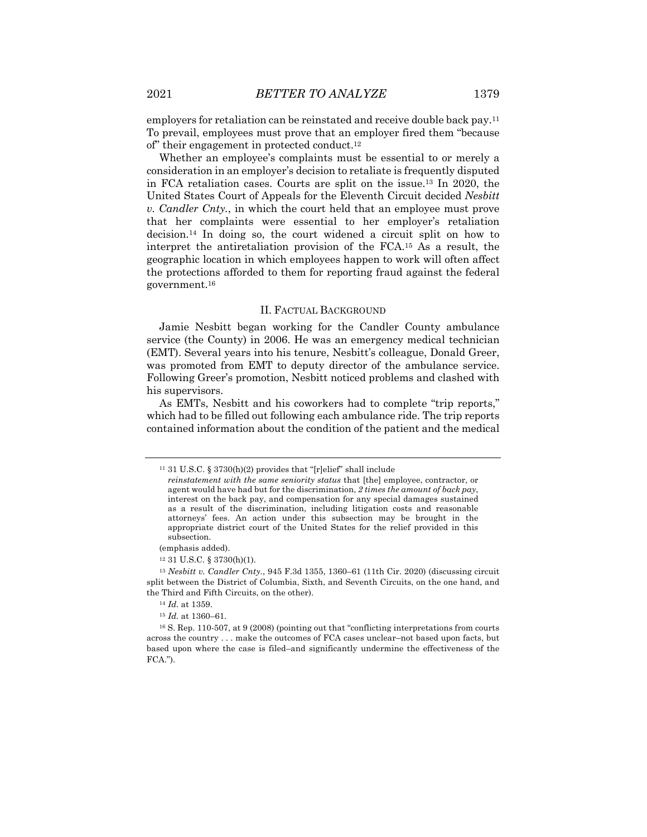employers for retaliation can be reinstated and receive double back pay.11 To prevail, employees must prove that an employer fired them "because of" their engagement in protected conduct.12

Whether an employee's complaints must be essential to or merely a consideration in an employer's decision to retaliate is frequently disputed in FCA retaliation cases. Courts are split on the issue.13 In 2020, the United States Court of Appeals for the Eleventh Circuit decided *Nesbitt v. Candler Cnty.*, in which the court held that an employee must prove that her complaints were essential to her employer's retaliation decision.14 In doing so, the court widened a circuit split on how to interpret the antiretaliation provision of the FCA.15 As a result, the geographic location in which employees happen to work will often affect the protections afforded to them for reporting fraud against the federal government.16

#### II. FACTUAL BACKGROUND

Jamie Nesbitt began working for the Candler County ambulance service (the County) in 2006. He was an emergency medical technician (EMT). Several years into his tenure, Nesbitt's colleague, Donald Greer, was promoted from EMT to deputy director of the ambulance service. Following Greer's promotion, Nesbitt noticed problems and clashed with his supervisors.

As EMTs, Nesbitt and his coworkers had to complete "trip reports," which had to be filled out following each ambulance ride. The trip reports contained information about the condition of the patient and the medical

(emphasis added).

<sup>13</sup> *Nesbitt v. Candler Cnty.*, 945 F.3d 1355, 1360–61 (11th Cir. 2020) (discussing circuit split between the District of Columbia, Sixth, and Seventh Circuits, on the one hand, and the Third and Fifth Circuits, on the other).

<sup>15</sup> *Id.* at 1360–61.

<sup>16</sup> S. Rep. 110-507, at 9 (2008) (pointing out that "conflicting interpretations from courts across the country . . . make the outcomes of FCA cases unclear–not based upon facts, but based upon where the case is filed–and significantly undermine the effectiveness of the FCA.").

<sup>11</sup> 31 U.S.C. § 3730(h)(2) provides that "[r]elief" shall include

*reinstatement with the same seniority status* that [the] employee, contractor, or agent would have had but for the discrimination, *2 times the amount of back pay*, interest on the back pay, and compensation for any special damages sustained as a result of the discrimination, including litigation costs and reasonable attorneys' fees. An action under this subsection may be brought in the appropriate district court of the United States for the relief provided in this subsection.

<sup>12</sup> 31 U.S.C. § 3730(h)(1).

<sup>14</sup> *Id.* at 1359.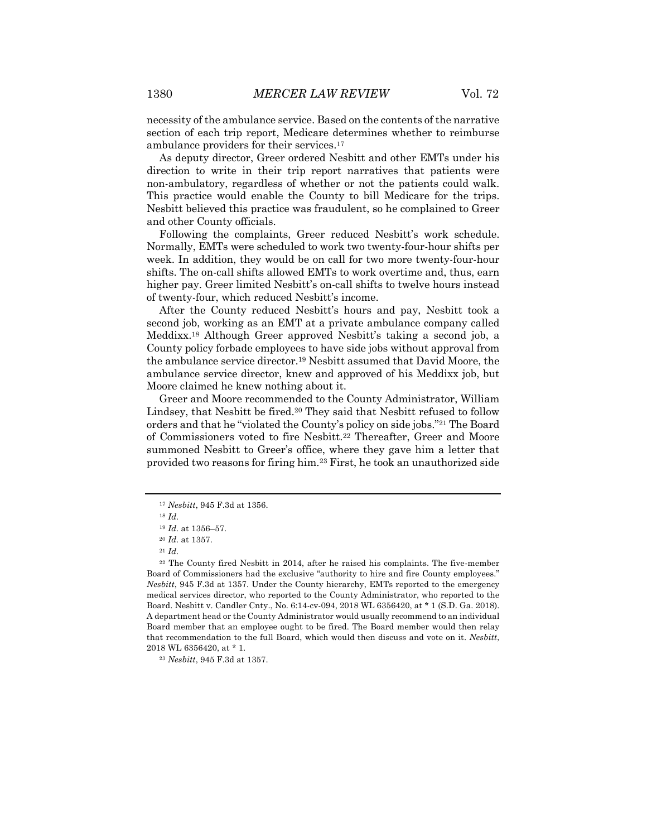necessity of the ambulance service. Based on the contents of the narrative section of each trip report, Medicare determines whether to reimburse ambulance providers for their services.17

As deputy director, Greer ordered Nesbitt and other EMTs under his direction to write in their trip report narratives that patients were non-ambulatory, regardless of whether or not the patients could walk. This practice would enable the County to bill Medicare for the trips. Nesbitt believed this practice was fraudulent, so he complained to Greer and other County officials.

Following the complaints, Greer reduced Nesbitt's work schedule. Normally, EMTs were scheduled to work two twenty-four-hour shifts per week. In addition, they would be on call for two more twenty-four-hour shifts. The on-call shifts allowed EMTs to work overtime and, thus, earn higher pay. Greer limited Nesbitt's on-call shifts to twelve hours instead of twenty-four, which reduced Nesbitt's income.

After the County reduced Nesbitt's hours and pay, Nesbitt took a second job, working as an EMT at a private ambulance company called Meddixx.18 Although Greer approved Nesbitt's taking a second job, a County policy forbade employees to have side jobs without approval from the ambulance service director.19 Nesbitt assumed that David Moore, the ambulance service director, knew and approved of his Meddixx job, but Moore claimed he knew nothing about it.

Greer and Moore recommended to the County Administrator, William Lindsey, that Nesbitt be fired.20 They said that Nesbitt refused to follow orders and that he "violated the County's policy on side jobs."21 The Board of Commissioners voted to fire Nesbitt.22 Thereafter, Greer and Moore summoned Nesbitt to Greer's office, where they gave him a letter that provided two reasons for firing him.23 First, he took an unauthorized side

<sup>17</sup> *Nesbitt*, 945 F.3d at 1356.

<sup>18</sup> *Id.* 

<sup>19</sup> *Id.* at 1356–57.

<sup>20</sup> *Id.* at 1357.

<sup>21</sup> *Id.* 

<sup>22</sup> The County fired Nesbitt in 2014, after he raised his complaints. The five-member Board of Commissioners had the exclusive "authority to hire and fire County employees." *Nesbitt*, 945 F.3d at 1357. Under the County hierarchy, EMTs reported to the emergency medical services director, who reported to the County Administrator, who reported to the Board. Nesbitt v. Candler Cnty., No. 6:14-cv-094, 2018 WL 6356420, at \* 1 (S.D. Ga. 2018). A department head or the County Administrator would usually recommend to an individual Board member that an employee ought to be fired. The Board member would then relay that recommendation to the full Board, which would then discuss and vote on it. *Nesbitt*, 2018 WL 6356420, at \* 1.

<sup>23</sup> *Nesbitt*, 945 F.3d at 1357.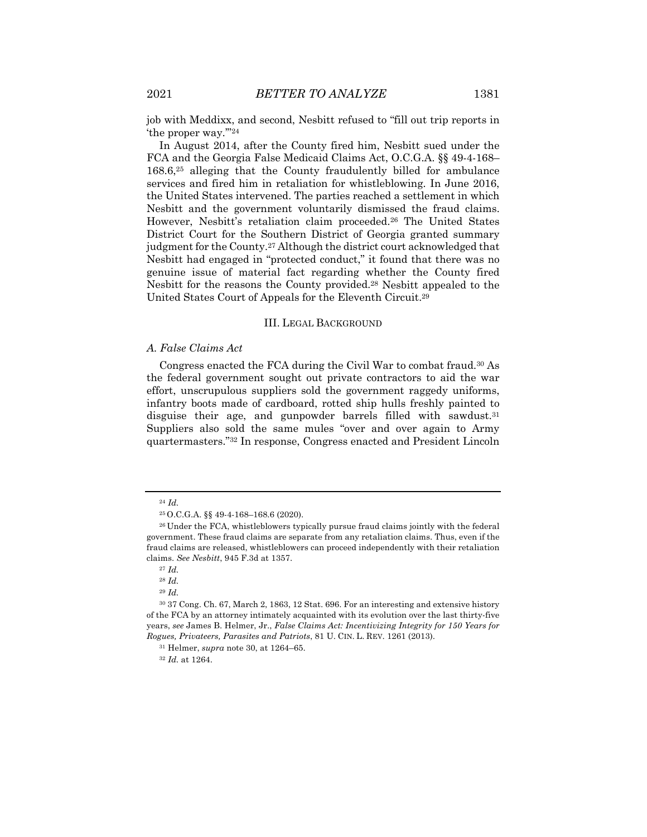job with Meddixx, and second, Nesbitt refused to "fill out trip reports in 'the proper way.'"24

In August 2014, after the County fired him, Nesbitt sued under the FCA and the Georgia False Medicaid Claims Act, O.C.G.A. §§ 49-4-168– 168.6,25 alleging that the County fraudulently billed for ambulance services and fired him in retaliation for whistleblowing. In June 2016, the United States intervened. The parties reached a settlement in which Nesbitt and the government voluntarily dismissed the fraud claims. However, Nesbitt's retaliation claim proceeded.26 The United States District Court for the Southern District of Georgia granted summary judgment for the County.27 Although the district court acknowledged that Nesbitt had engaged in "protected conduct," it found that there was no genuine issue of material fact regarding whether the County fired Nesbitt for the reasons the County provided.28 Nesbitt appealed to the United States Court of Appeals for the Eleventh Circuit.29

#### III. LEGAL BACKGROUND

#### *A. False Claims Act*

Congress enacted the FCA during the Civil War to combat fraud.30 As the federal government sought out private contractors to aid the war effort, unscrupulous suppliers sold the government raggedy uniforms, infantry boots made of cardboard, rotted ship hulls freshly painted to disguise their age, and gunpowder barrels filled with sawdust. $31$ Suppliers also sold the same mules "over and over again to Army quartermasters."32 In response, Congress enacted and President Lincoln

<sup>29</sup> *Id.* 

<sup>24</sup> *Id.* 

<sup>25</sup> O.C.G.A. §§ 49-4-168–168.6 (2020).

<sup>&</sup>lt;sup>26</sup> Under the FCA, whistleblowers typically pursue fraud claims jointly with the federal government. These fraud claims are separate from any retaliation claims. Thus, even if the fraud claims are released, whistleblowers can proceed independently with their retaliation claims. *See Nesbitt*, 945 F.3d at 1357.

<sup>27</sup> *Id.*

<sup>28</sup> *Id.*

<sup>30</sup> 37 Cong. Ch. 67, March 2, 1863, 12 Stat. 696. For an interesting and extensive history of the FCA by an attorney intimately acquainted with its evolution over the last thirty-five years, *see* James B. Helmer, Jr., *False Claims Act: Incentivizing Integrity for 150 Years for Rogues, Privateers, Parasites and Patriots*, 81 U. CIN. L. REV. 1261 (2013).

<sup>31</sup> Helmer, *supra* note 30, at 1264–65.

<sup>32</sup> *Id.* at 1264.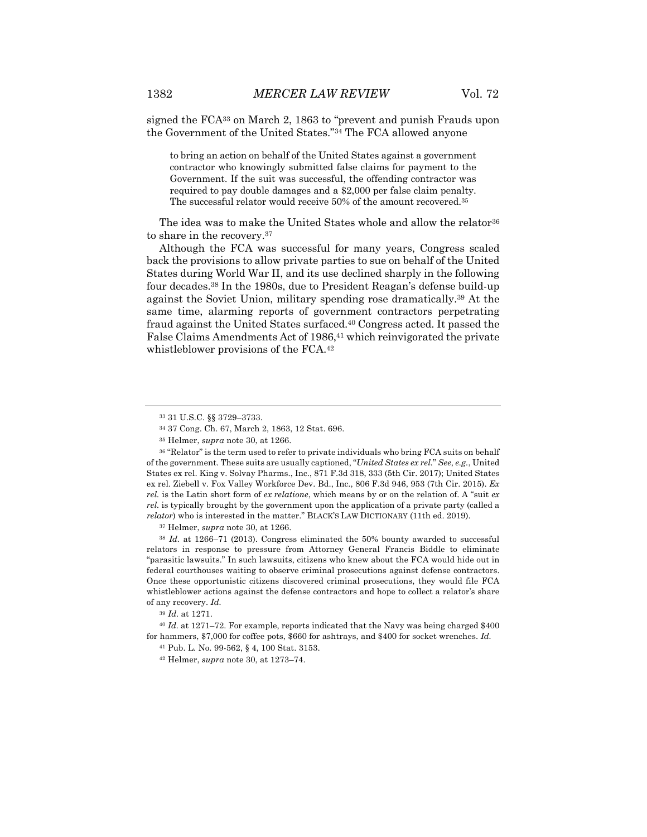signed the FCA33 on March 2, 1863 to "prevent and punish Frauds upon the Government of the United States."34 The FCA allowed anyone

to bring an action on behalf of the United States against a government contractor who knowingly submitted false claims for payment to the Government. If the suit was successful, the offending contractor was required to pay double damages and a \$2,000 per false claim penalty. The successful relator would receive 50% of the amount recovered.35

The idea was to make the United States whole and allow the relator<sup>36</sup> to share in the recovery.37

Although the FCA was successful for many years, Congress scaled back the provisions to allow private parties to sue on behalf of the United States during World War II, and its use declined sharply in the following four decades.38 In the 1980s, due to President Reagan's defense build-up against the Soviet Union, military spending rose dramatically.39 At the same time, alarming reports of government contractors perpetrating fraud against the United States surfaced.40 Congress acted. It passed the False Claims Amendments Act of 1986,<sup>41</sup> which reinvigorated the private whistleblower provisions of the FCA.42

<sup>33</sup> 31 U.S.C. §§ 3729–3733.

<sup>34</sup> 37 Cong. Ch. 67, March 2, 1863, 12 Stat. 696.

<sup>35</sup> Helmer, *supra* note 30, at 1266.

<sup>36</sup> "Relator" is the term used to refer to private individuals who bring FCA suits on behalf of the government. These suits are usually captioned, "*United States ex rel.*" *See*, *e.g.*, United States ex rel. King v. Solvay Pharms., Inc., 871 F.3d 318, 333 (5th Cir. 2017); United States ex rel. Ziebell v. Fox Valley Workforce Dev. Bd., Inc., 806 F.3d 946, 953 (7th Cir. 2015). *Ex rel.* is the Latin short form of *ex relatione*, which means by or on the relation of. A "suit *ex rel.* is typically brought by the government upon the application of a private party (called a *relator*) who is interested in the matter." BLACK'S LAW DICTIONARY (11th ed. 2019).

<sup>37</sup> Helmer, *supra* note 30, at 1266.

<sup>38</sup> *Id.* at 1266–71 (2013). Congress eliminated the 50% bounty awarded to successful relators in response to pressure from Attorney General Francis Biddle to eliminate "parasitic lawsuits." In such lawsuits, citizens who knew about the FCA would hide out in federal courthouses waiting to observe criminal prosecutions against defense contractors. Once these opportunistic citizens discovered criminal prosecutions, they would file FCA whistleblower actions against the defense contractors and hope to collect a relator's share of any recovery. *Id.*

<sup>39</sup> *Id.* at 1271.

<sup>40</sup> *Id.* at 1271–72. For example, reports indicated that the Navy was being charged \$400 for hammers, \$7,000 for coffee pots, \$660 for ashtrays, and \$400 for socket wrenches. *Id.*

<sup>41</sup> Pub. L. No. 99-562, § 4, 100 Stat. 3153.

<sup>42</sup> Helmer, *supra* note 30, at 1273–74.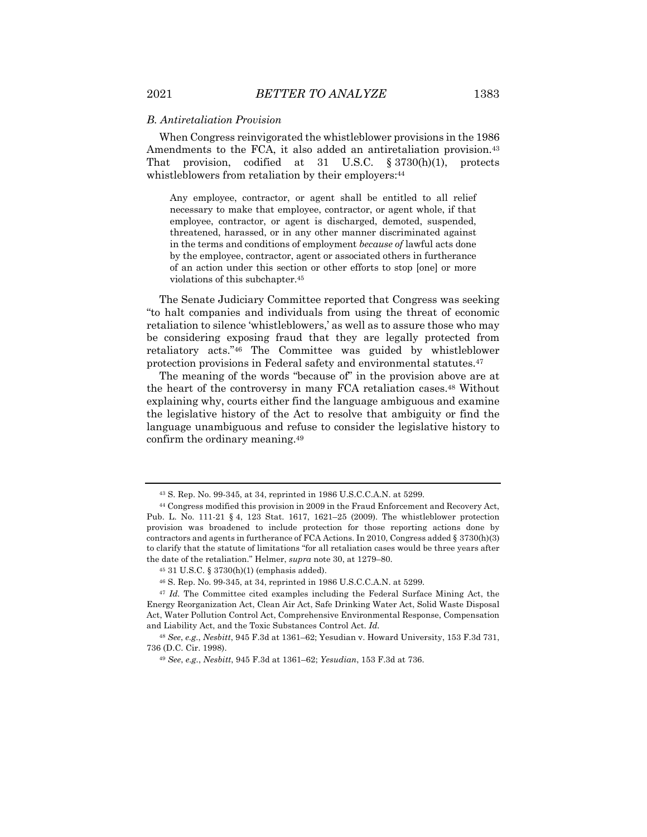#### *B. Antiretaliation Provision*

When Congress reinvigorated the whistleblower provisions in the 1986 Amendments to the FCA, it also added an antiretaliation provision.<sup>43</sup> That provision, codified at 31 U.S.C. § 3730(h)(1), protects whistleblowers from retaliation by their employers:<sup>44</sup>

Any employee, contractor, or agent shall be entitled to all relief necessary to make that employee, contractor, or agent whole, if that employee, contractor, or agent is discharged, demoted, suspended, threatened, harassed, or in any other manner discriminated against in the terms and conditions of employment *because of* lawful acts done by the employee, contractor, agent or associated others in furtherance of an action under this section or other efforts to stop [one] or more violations of this subchapter.45

The Senate Judiciary Committee reported that Congress was seeking "to halt companies and individuals from using the threat of economic retaliation to silence 'whistleblowers,' as well as to assure those who may be considering exposing fraud that they are legally protected from retaliatory acts."46 The Committee was guided by whistleblower protection provisions in Federal safety and environmental statutes.47

The meaning of the words "because of" in the provision above are at the heart of the controversy in many FCA retaliation cases.<sup>48</sup> Without explaining why, courts either find the language ambiguous and examine the legislative history of the Act to resolve that ambiguity or find the language unambiguous and refuse to consider the legislative history to confirm the ordinary meaning.49

<sup>43</sup> S. Rep. No. 99-345, at 34, reprinted in 1986 U.S.C.C.A.N. at 5299.

<sup>44</sup> Congress modified this provision in 2009 in the Fraud Enforcement and Recovery Act, Pub. L. No. 111-21 § 4, 123 Stat. 1617, 1621–25 (2009). The whistleblower protection provision was broadened to include protection for those reporting actions done by contractors and agents in furtherance of FCA Actions. In 2010, Congress added  $\S 3730(h)(3)$ to clarify that the statute of limitations "for all retaliation cases would be three years after the date of the retaliation." Helmer, *supra* note 30, at 1279–80.

<sup>45</sup> 31 U.S.C. § 3730(h)(1) (emphasis added).

<sup>46</sup> S. Rep. No. 99-345, at 34, reprinted in 1986 U.S.C.C.A.N. at 5299.

<sup>47</sup> *Id.* The Committee cited examples including the Federal Surface Mining Act, the Energy Reorganization Act, Clean Air Act, Safe Drinking Water Act, Solid Waste Disposal Act, Water Pollution Control Act, Comprehensive Environmental Response, Compensation and Liability Act, and the Toxic Substances Control Act. *Id.*

<sup>48</sup> *See*, *e.g.*, *Nesbitt*, 945 F.3d at 1361–62; Yesudian v. Howard University, 153 F.3d 731, 736 (D.C. Cir. 1998).

<sup>49</sup> *See*, *e.g.*, *Nesbitt*, 945 F.3d at 1361–62; *Yesudian*, 153 F.3d at 736.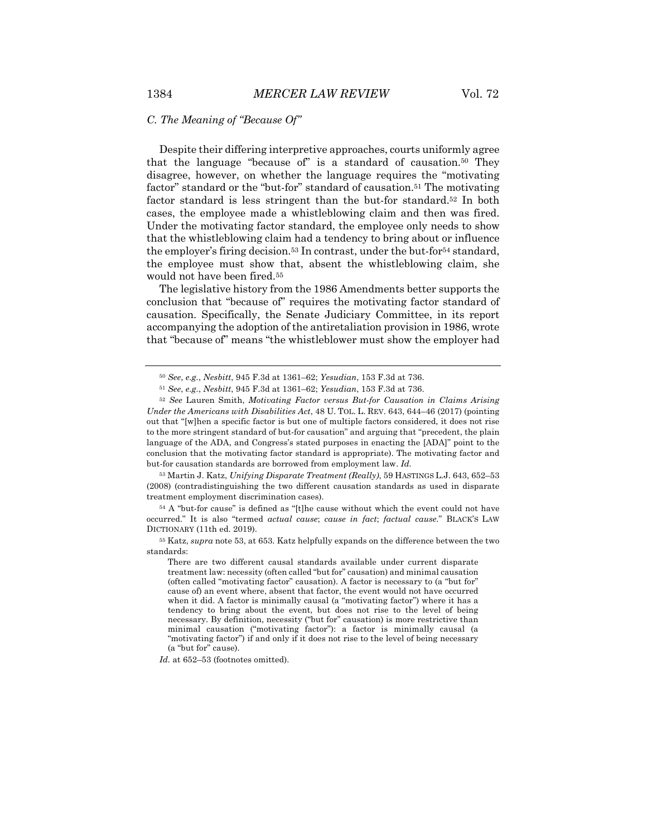Despite their differing interpretive approaches, courts uniformly agree that the language "because of" is a standard of causation.50 They disagree, however, on whether the language requires the "motivating factor" standard or the "but-for" standard of causation.<sup>51</sup> The motivating factor standard is less stringent than the but-for standard.52 In both cases, the employee made a whistleblowing claim and then was fired. Under the motivating factor standard, the employee only needs to show that the whistleblowing claim had a tendency to bring about or influence the employer's firing decision.53 In contrast, under the but-for54 standard, the employee must show that, absent the whistleblowing claim, she would not have been fired.55

The legislative history from the 1986 Amendments better supports the conclusion that "because of" requires the motivating factor standard of causation. Specifically, the Senate Judiciary Committee, in its report accompanying the adoption of the antiretaliation provision in 1986, wrote that "because of" means "the whistleblower must show the employer had

<sup>53</sup> Martin J. Katz, *Unifying Disparate Treatment (Really)*, 59 HASTINGS L.J. 643, 652–53 (2008) (contradistinguishing the two different causation standards as used in disparate treatment employment discrimination cases).

<sup>54</sup> A "but-for cause" is defined as "[t]he cause without which the event could not have occurred." It is also "termed *actual cause*; *cause in fact*; *factual cause*." BLACK'S LAW DICTIONARY (11th ed. 2019).

<sup>55</sup> Katz, *supra* note 53, at 653. Katz helpfully expands on the difference between the two standards:

There are two different causal standards available under current disparate treatment law: necessity (often called "but for" causation) and minimal causation (often called "motivating factor" causation). A factor is necessary to (a "but for" cause of) an event where, absent that factor, the event would not have occurred when it did. A factor is minimally causal (a "motivating factor") where it has a tendency to bring about the event, but does not rise to the level of being necessary. By definition, necessity ("but for" causation) is more restrictive than minimal causation ("motivating factor"): a factor is minimally causal (a "motivating factor") if and only if it does not rise to the level of being necessary (a "but for" cause).

*Id.* at 652–53 (footnotes omitted).

<sup>50</sup> *See*, *e.g.*, *Nesbitt*, 945 F.3d at 1361–62; *Yesudian*, 153 F.3d at 736.

<sup>51</sup> *See*, *e.g.*, *Nesbitt*, 945 F.3d at 1361–62; *Yesudian*, 153 F.3d at 736.

<sup>52</sup> *See* Lauren Smith, *Motivating Factor versus But-for Causation in Claims Arising Under the Americans with Disabilities Act*, 48 U. TOL. L. REV. 643, 644–46 (2017) (pointing out that "[w]hen a specific factor is but one of multiple factors considered, it does not rise to the more stringent standard of but-for causation" and arguing that "precedent, the plain language of the ADA, and Congress's stated purposes in enacting the [ADA]" point to the conclusion that the motivating factor standard is appropriate). The motivating factor and but-for causation standards are borrowed from employment law. *Id.*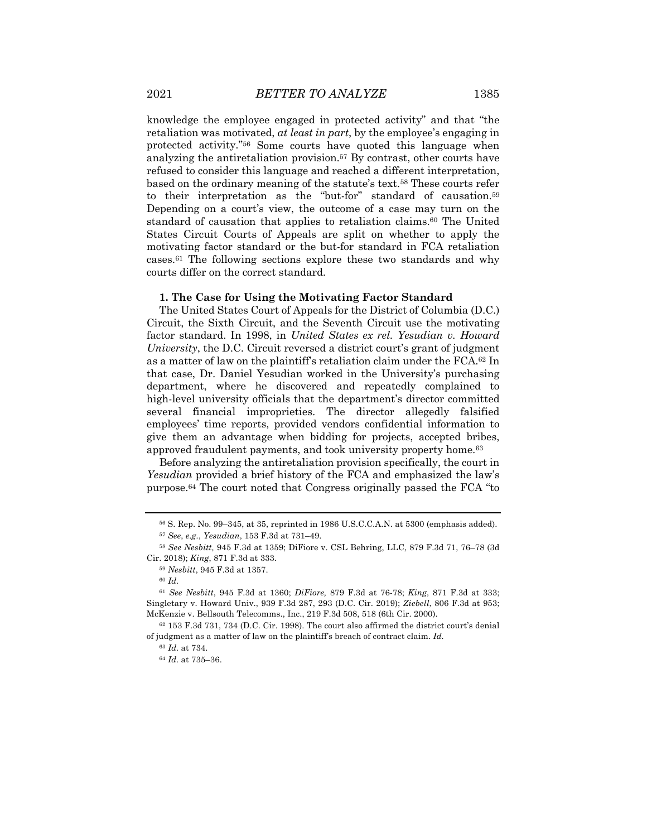knowledge the employee engaged in protected activity" and that "the retaliation was motivated, *at least in part*, by the employee's engaging in protected activity."56 Some courts have quoted this language when analyzing the antiretaliation provision.57 By contrast, other courts have refused to consider this language and reached a different interpretation, based on the ordinary meaning of the statute's text.58 These courts refer to their interpretation as the "but-for" standard of causation.59 Depending on a court's view, the outcome of a case may turn on the standard of causation that applies to retaliation claims.60 The United States Circuit Courts of Appeals are split on whether to apply the motivating factor standard or the but-for standard in FCA retaliation cases.61 The following sections explore these two standards and why courts differ on the correct standard.

#### **1. The Case for Using the Motivating Factor Standard**

The United States Court of Appeals for the District of Columbia (D.C.) Circuit, the Sixth Circuit, and the Seventh Circuit use the motivating factor standard. In 1998, in *United States ex rel. Yesudian v. Howard University*, the D.C. Circuit reversed a district court's grant of judgment as a matter of law on the plaintiff's retaliation claim under the FCA.62 In that case, Dr. Daniel Yesudian worked in the University's purchasing department, where he discovered and repeatedly complained to high-level university officials that the department's director committed several financial improprieties. The director allegedly falsified employees' time reports, provided vendors confidential information to give them an advantage when bidding for projects, accepted bribes, approved fraudulent payments, and took university property home.63

Before analyzing the antiretaliation provision specifically, the court in *Yesudian* provided a brief history of the FCA and emphasized the law's purpose.64 The court noted that Congress originally passed the FCA "to

<sup>56</sup> S. Rep. No. 99–345, at 35, reprinted in 1986 U.S.C.C.A.N. at 5300 (emphasis added).

<sup>57</sup> *See*, *e.g.*, *Yesudian*, 153 F.3d at 731–49.

<sup>58</sup> *See Nesbitt,* 945 F.3d at 1359; DiFiore v. CSL Behring, LLC, 879 F.3d 71, 76–78 (3d Cir. 2018); *King*, 871 F.3d at 333.

<sup>59</sup> *Nesbitt*, 945 F.3d at 1357.

<sup>60</sup> *Id.*

<sup>61</sup> *See Nesbitt*, 945 F.3d at 1360; *DiFiore,* 879 F.3d at 76-78; *King*, 871 F.3d at 333; Singletary v. Howard Univ., 939 F.3d 287, 293 (D.C. Cir. 2019); *Ziebell*, 806 F.3d at 953; McKenzie v. Bellsouth Telecomms., Inc., 219 F.3d 508, 518 (6th Cir. 2000).

 $62$  153 F.3d 731, 734 (D.C. Cir. 1998). The court also affirmed the district court's denial of judgment as a matter of law on the plaintiff's breach of contract claim. *Id.*

<sup>63</sup> *Id.* at 734.

<sup>64</sup> *Id.* at 735–36.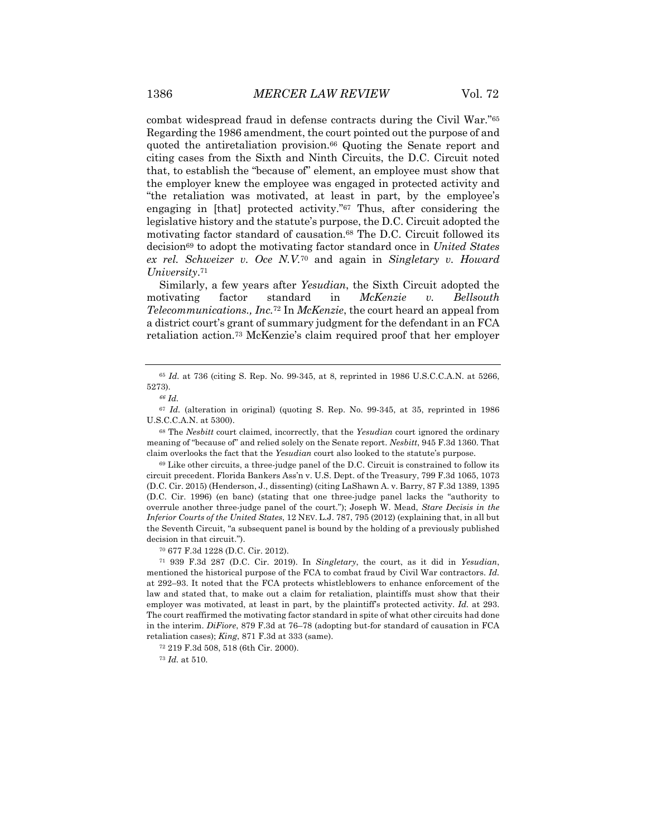combat widespread fraud in defense contracts during the Civil War."65 Regarding the 1986 amendment, the court pointed out the purpose of and quoted the antiretaliation provision.<sup>66</sup> Quoting the Senate report and citing cases from the Sixth and Ninth Circuits, the D.C. Circuit noted that, to establish the "because of" element, an employee must show that the employer knew the employee was engaged in protected activity and "the retaliation was motivated, at least in part, by the employee's engaging in [that] protected activity."67 Thus, after considering the legislative history and the statute's purpose, the D.C. Circuit adopted the motivating factor standard of causation.68 The D.C. Circuit followed its decision69 to adopt the motivating factor standard once in *United States ex rel. Schweizer v. Oce N.V.*<sup>70</sup> and again in *Singletary v. Howard University*.71

Similarly, a few years after *Yesudian*, the Sixth Circuit adopted the motivating factor standard in *McKenzie v. Bellsouth Telecommunications., Inc.*<sup>72</sup> In *McKenzie*, the court heard an appeal from a district court's grant of summary judgment for the defendant in an FCA retaliation action.73 McKenzie's claim required proof that her employer

<sup>68</sup> The *Nesbitt* court claimed, incorrectly, that the *Yesudian* court ignored the ordinary meaning of "because of" and relied solely on the Senate report. *Nesbitt*, 945 F.3d 1360. That claim overlooks the fact that the *Yesudian* court also looked to the statute's purpose.

<sup>69</sup> Like other circuits, a three-judge panel of the D.C. Circuit is constrained to follow its circuit precedent. Florida Bankers Ass'n v. U.S. Dept. of the Treasury, 799 F.3d 1065, 1073 (D.C. Cir. 2015) (Henderson, J., dissenting) (citing LaShawn A. v. Barry, 87 F.3d 1389, 1395 (D.C. Cir. 1996) (en banc) (stating that one three-judge panel lacks the "authority to overrule another three-judge panel of the court."); Joseph W. Mead, *Stare Decisis in the Inferior Courts of the United States*, 12 NEV. L.J. 787, 795 (2012) (explaining that, in all but the Seventh Circuit, "a subsequent panel is bound by the holding of a previously published decision in that circuit.").

<sup>70</sup> 677 F.3d 1228 (D.C. Cir. 2012).

<sup>71</sup> 939 F.3d 287 (D.C. Cir. 2019). In *Singletary*, the court, as it did in *Yesudian*, mentioned the historical purpose of the FCA to combat fraud by Civil War contractors. *Id.* at 292–93. It noted that the FCA protects whistleblowers to enhance enforcement of the law and stated that, to make out a claim for retaliation, plaintiffs must show that their employer was motivated, at least in part, by the plaintiff's protected activity. *Id.* at 293. The court reaffirmed the motivating factor standard in spite of what other circuits had done in the interim. *DiFiore*, 879 F.3d at 76–78 (adopting but-for standard of causation in FCA retaliation cases); *King*, 871 F.3d at 333 (same).

<sup>72</sup> 219 F.3d 508, 518 (6th Cir. 2000).

<sup>73</sup> *Id.* at 510.

<sup>65</sup> *Id.* at 736 (citing S. Rep. No. 99-345, at 8, reprinted in 1986 U.S.C.C.A.N. at 5266, 5273).

*<sup>66</sup> Id.*

<sup>67</sup> *Id.* (alteration in original) (quoting S. Rep. No. 99-345, at 35, reprinted in 1986 U.S.C.C.A.N. at 5300).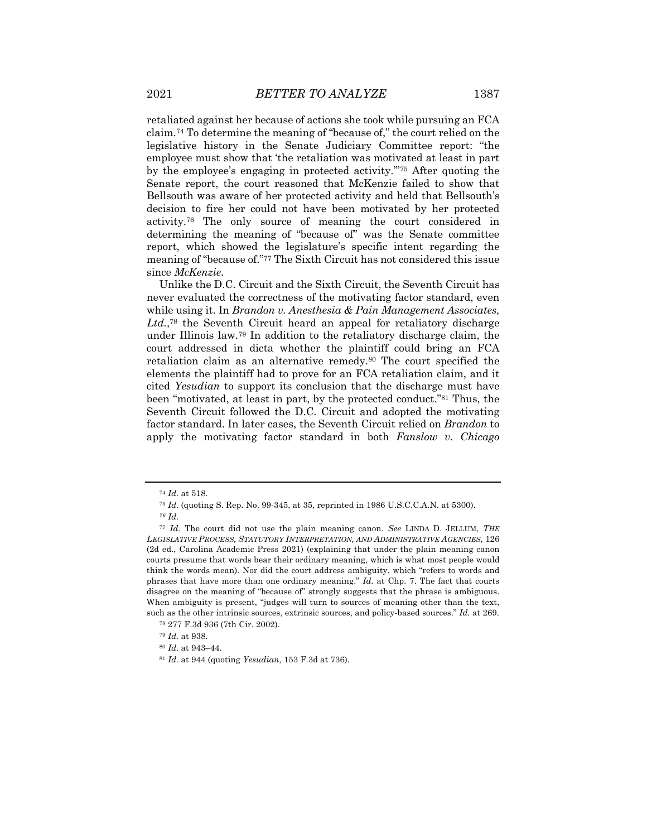retaliated against her because of actions she took while pursuing an FCA claim.74 To determine the meaning of "because of," the court relied on the legislative history in the Senate Judiciary Committee report: "the employee must show that 'the retaliation was motivated at least in part by the employee's engaging in protected activity.'"75 After quoting the Senate report, the court reasoned that McKenzie failed to show that Bellsouth was aware of her protected activity and held that Bellsouth's decision to fire her could not have been motivated by her protected activity.76 The only source of meaning the court considered in determining the meaning of "because of" was the Senate committee report, which showed the legislature's specific intent regarding the meaning of "because of."77 The Sixth Circuit has not considered this issue since *McKenzie*.

Unlike the D.C. Circuit and the Sixth Circuit, the Seventh Circuit has never evaluated the correctness of the motivating factor standard, even while using it. In *Brandon v. Anesthesia & Pain Management Associates, Ltd.*,78 the Seventh Circuit heard an appeal for retaliatory discharge under Illinois law.79 In addition to the retaliatory discharge claim, the court addressed in dicta whether the plaintiff could bring an FCA retaliation claim as an alternative remedy.80 The court specified the elements the plaintiff had to prove for an FCA retaliation claim, and it cited *Yesudian* to support its conclusion that the discharge must have been "motivated, at least in part, by the protected conduct."81 Thus, the Seventh Circuit followed the D.C. Circuit and adopted the motivating factor standard. In later cases, the Seventh Circuit relied on *Brandon* to apply the motivating factor standard in both *Fanslow v. Chicago* 

<sup>74</sup> *Id.* at 518.

<sup>75</sup> *Id.* (quoting S. Rep. No. 99-345, at 35, reprinted in 1986 U.S.C.C.A.N. at 5300).

*<sup>76</sup> Id.*

<sup>77</sup> *Id.* The court did not use the plain meaning canon. *See* LINDA D. JELLUM, *THE LEGISLATIVE PROCESS, STATUTORY INTERPRETATION, AND ADMINISTRATIVE AGENCIES*, 126 (2d ed., Carolina Academic Press 2021) (explaining that under the plain meaning canon courts presume that words bear their ordinary meaning, which is what most people would think the words mean). Nor did the court address ambiguity, which "refers to words and phrases that have more than one ordinary meaning." *Id.* at Chp. 7. The fact that courts disagree on the meaning of "because of" strongly suggests that the phrase is ambiguous. When ambiguity is present, "judges will turn to sources of meaning other than the text, such as the other intrinsic sources, extrinsic sources, and policy-based sources." *Id.* at 269.

<sup>78</sup> 277 F.3d 936 (7th Cir. 2002).

<sup>79</sup> *Id.* at 938.

<sup>80</sup> *Id.* at 943–44.

<sup>81</sup> *Id.* at 944 (quoting *Yesudian*, 153 F.3d at 736).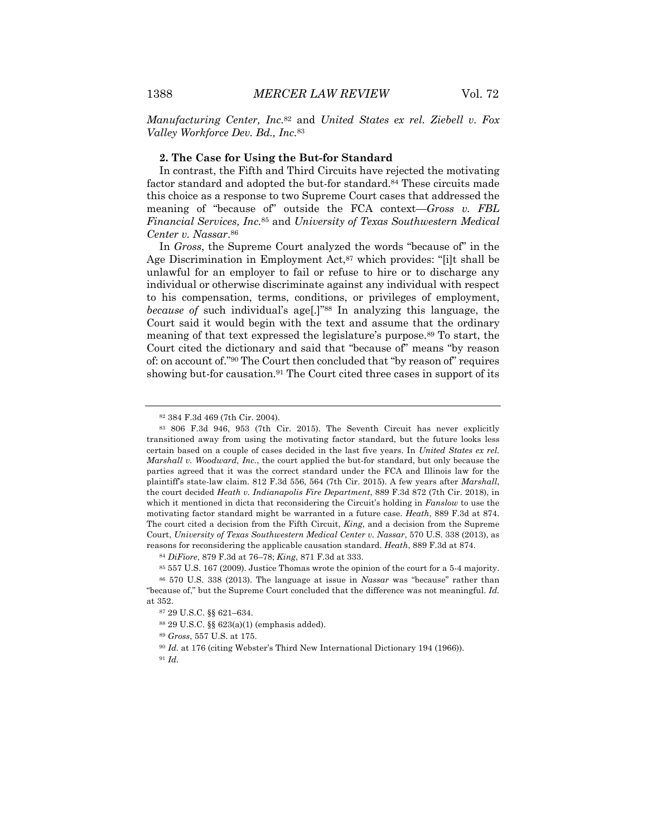*Manufacturing Center, Inc.*<sup>82</sup> and *United States ex rel. Ziebell v. Fox Valley Workforce Dev. Bd., Inc.*<sup>83</sup>

#### **2. The Case for Using the But-for Standard**

In contrast, the Fifth and Third Circuits have rejected the motivating factor standard and adopted the but-for standard.84 These circuits made this choice as a response to two Supreme Court cases that addressed the meaning of "because of" outside the FCA context—*Gross v. FBL Financial Services, Inc.*<sup>85</sup> and *University of Texas Southwestern Medical Center v. Nassar*.86

In *Gross*, the Supreme Court analyzed the words "because of" in the Age Discrimination in Employment Act,<sup>87</sup> which provides: "[i]t shall be unlawful for an employer to fail or refuse to hire or to discharge any individual or otherwise discriminate against any individual with respect to his compensation, terms, conditions, or privileges of employment, *because of* such individual's age[.]"88 In analyzing this language, the Court said it would begin with the text and assume that the ordinary meaning of that text expressed the legislature's purpose.89 To start, the Court cited the dictionary and said that "because of" means "by reason of: on account of."90 The Court then concluded that "by reason of" requires showing but-for causation.<sup>91</sup> The Court cited three cases in support of its

<sup>82</sup> 384 F.3d 469 (7th Cir. 2004).

<sup>83</sup> 806 F.3d 946, 953 (7th Cir. 2015). The Seventh Circuit has never explicitly transitioned away from using the motivating factor standard, but the future looks less certain based on a couple of cases decided in the last five years. In *United States ex rel. Marshall v. Woodward, Inc.*, the court applied the but-for standard, but only because the parties agreed that it was the correct standard under the FCA and Illinois law for the plaintiff's state-law claim. 812 F.3d 556, 564 (7th Cir. 2015). A few years after *Marshall*, the court decided *Heath v. Indianapolis Fire Department*, 889 F.3d 872 (7th Cir. 2018), in which it mentioned in dicta that reconsidering the Circuit's holding in *Fanslow* to use the motivating factor standard might be warranted in a future case. *Heath*, 889 F.3d at 874. The court cited a decision from the Fifth Circuit, *King*, and a decision from the Supreme Court, *University of Texas Southwestern Medical Center v. Nassar*, 570 U.S. 338 (2013), as reasons for reconsidering the applicable causation standard. *Heath*, 889 F.3d at 874.

<sup>84</sup> *DiFiore*, 879 F.3d at 76–78; *King*, 871 F.3d at 333.

<sup>85</sup> 557 U.S. 167 (2009). Justice Thomas wrote the opinion of the court for a 5-4 majority.

<sup>86</sup> 570 U.S. 338 (2013). The language at issue in *Nassar* was "because" rather than "because of," but the Supreme Court concluded that the difference was not meaningful. *Id.* at 352.

<sup>87</sup> 29 U.S.C. §§ 621–634.

<sup>88</sup> 29 U.S.C. §§ 623(a)(1) (emphasis added).

<sup>89</sup> *Gross*, 557 U.S. at 175.

<sup>90</sup> *Id.* at 176 (citing Webster's Third New International Dictionary 194 (1966)).

<sup>91</sup> *Id.*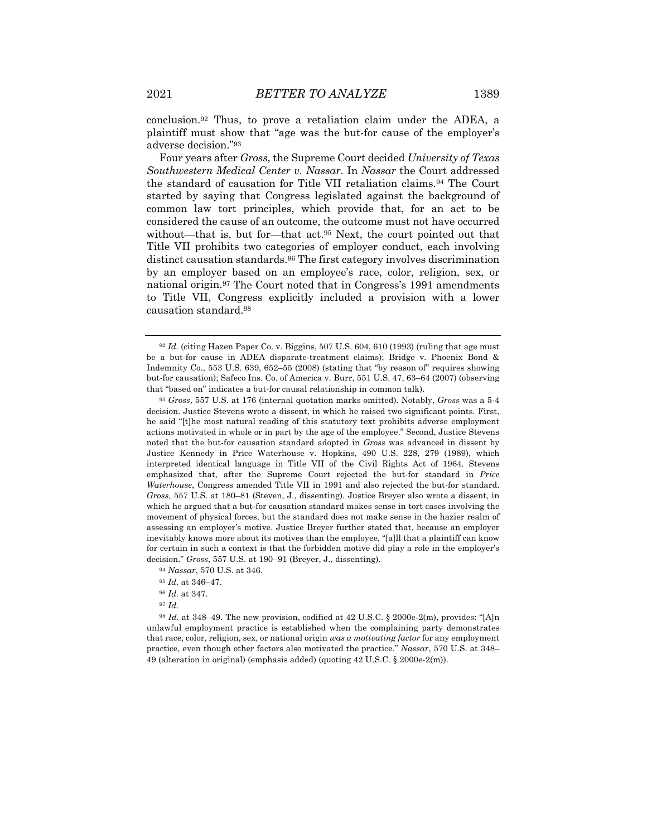Four years after *Gross*, the Supreme Court decided *University of Texas Southwestern Medical Center v. Nassar*. In *Nassar* the Court addressed the standard of causation for Title VII retaliation claims.94 The Court started by saying that Congress legislated against the background of common law tort principles, which provide that, for an act to be considered the cause of an outcome, the outcome must not have occurred without—that is, but for—that act.<sup>95</sup> Next, the court pointed out that Title VII prohibits two categories of employer conduct, each involving distinct causation standards.96 The first category involves discrimination by an employer based on an employee's race, color, religion, sex, or national origin.97 The Court noted that in Congress's 1991 amendments to Title VII, Congress explicitly included a provision with a lower causation standard.98

<sup>98</sup> *Id.* at 348–49. The new provision, codified at 42 U.S.C. § 2000e-2(m), provides: "[A]n unlawful employment practice is established when the complaining party demonstrates that race, color, religion, sex, or national origin *was a motivating factor* for any employment practice, even though other factors also motivated the practice." *Nassar*, 570 U.S. at 348– 49 (alteration in original) (emphasis added) (quoting 42 U.S.C. § 2000e-2(m)).

<sup>92</sup> *Id.* (citing Hazen Paper Co. v. Biggins, 507 U.S. 604, 610 (1993) (ruling that age must be a but-for cause in ADEA disparate-treatment claims); Bridge v. Phoenix Bond & Indemnity Co., 553 U.S. 639, 652–55 (2008) (stating that "by reason of" requires showing but-for causation); Safeco Ins. Co. of America v. Burr, 551 U.S. 47, 63–64 (2007) (observing that "based on" indicates a but-for causal relationship in common talk).

<sup>93</sup> *Gross*, 557 U.S. at 176 (internal quotation marks omitted). Notably, *Gross* was a 5-4 decision. Justice Stevens wrote a dissent, in which he raised two significant points. First, he said "[t]he most natural reading of this statutory text prohibits adverse employment actions motivated in whole or in part by the age of the employee." Second, Justice Stevens noted that the but-for causation standard adopted in *Gross* was advanced in dissent by Justice Kennedy in Price Waterhouse v. Hopkins, 490 U.S. 228, 279 (1989), which interpreted identical language in Title VII of the Civil Rights Act of 1964. Stevens emphasized that, after the Supreme Court rejected the but-for standard in *Price Waterhouse*, Congress amended Title VII in 1991 and also rejected the but-for standard. *Gross*, 557 U.S. at 180–81 (Steven, J., dissenting). Justice Breyer also wrote a dissent, in which he argued that a but-for causation standard makes sense in tort cases involving the movement of physical forces, but the standard does not make sense in the hazier realm of assessing an employer's motive. Justice Breyer further stated that, because an employer inevitably knows more about its motives than the employee, "[a]ll that a plaintiff can know for certain in such a context is that the forbidden motive did play a role in the employer's decision." *Gross*, 557 U.S. at 190–91 (Breyer, J., dissenting).

<sup>94</sup> *Nassar*, 570 U.S. at 346.

<sup>95</sup> *Id.* at 346–47.

<sup>96</sup> *Id.* at 347.

<sup>97</sup> *Id.*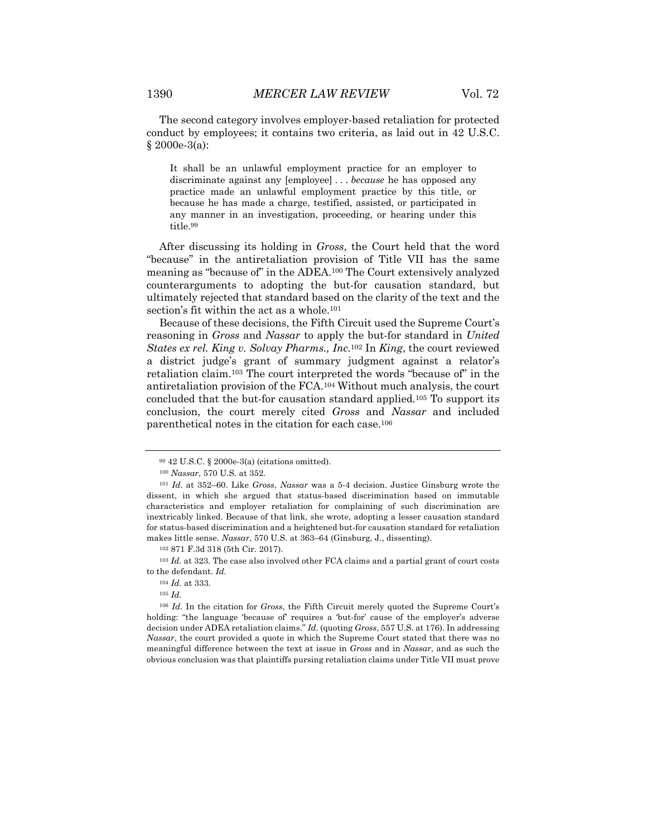The second category involves employer-based retaliation for protected conduct by employees; it contains two criteria, as laid out in 42 U.S.C. § 2000e-3(a):

It shall be an unlawful employment practice for an employer to discriminate against any [employee] . . . *because* he has opposed any practice made an unlawful employment practice by this title, or because he has made a charge, testified, assisted, or participated in any manner in an investigation, proceeding, or hearing under this title.99

After discussing its holding in *Gross*, the Court held that the word "because" in the antiretaliation provision of Title VII has the same meaning as "because of" in the ADEA.100 The Court extensively analyzed counterarguments to adopting the but-for causation standard, but ultimately rejected that standard based on the clarity of the text and the section's fit within the act as a whole.<sup>101</sup>

Because of these decisions, the Fifth Circuit used the Supreme Court's reasoning in *Gross* and *Nassar* to apply the but-for standard in *United States ex rel. King v. Solvay Pharms., Inc.*<sup>102</sup> In *King*, the court reviewed a district judge's grant of summary judgment against a relator's retaliation claim.103 The court interpreted the words "because of" in the antiretaliation provision of the FCA.104 Without much analysis, the court concluded that the but-for causation standard applied.105 To support its conclusion, the court merely cited *Gross* and *Nassar* and included parenthetical notes in the citation for each case.106

<sup>105</sup> *Id.* 

<sup>99</sup> 42 U.S.C. § 2000e-3(a) (citations omitted).

<sup>100</sup> *Nassar*, 570 U.S. at 352.

<sup>101</sup> *Id.* at 352–60. Like *Gross*, *Nassar* was a 5-4 decision. Justice Ginsburg wrote the dissent, in which she argued that status-based discrimination based on immutable characteristics and employer retaliation for complaining of such discrimination are inextricably linked. Because of that link, she wrote, adopting a lesser causation standard for status-based discrimination and a heightened but-for causation standard for retaliation makes little sense. *Nassar*, 570 U.S. at 363–64 (Ginsburg, J., dissenting).

<sup>102</sup> 871 F.3d 318 (5th Cir. 2017).

<sup>103</sup> *Id.* at 323. The case also involved other FCA claims and a partial grant of court costs to the defendant. *Id.* 

<sup>104</sup> *Id.* at 333.

<sup>106</sup> *Id.* In the citation for *Gross*, the Fifth Circuit merely quoted the Supreme Court's holding: "the language 'because of' requires a 'but-for' cause of the employer's adverse decision under ADEA retaliation claims." *Id.* (quoting *Gross*, 557 U.S. at 176). In addressing *Nassar*, the court provided a quote in which the Supreme Court stated that there was no meaningful difference between the text at issue in *Gross* and in *Nassar*, and as such the obvious conclusion was that plaintiffs pursing retaliation claims under Title VII must prove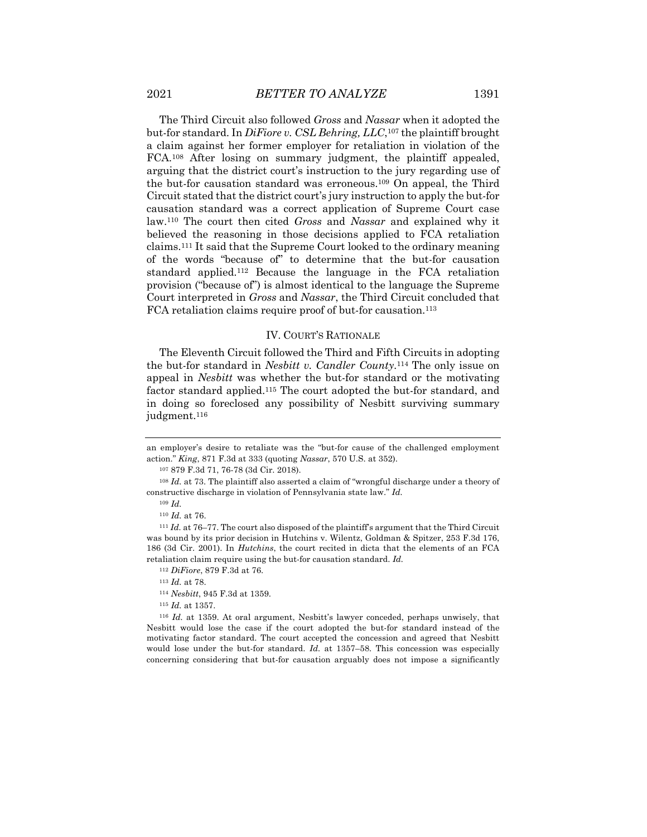The Third Circuit also followed *Gross* and *Nassar* when it adopted the but-for standard. In *DiFiore v. CSL Behring, LLC*,107 the plaintiff brought a claim against her former employer for retaliation in violation of the FCA.108 After losing on summary judgment, the plaintiff appealed, arguing that the district court's instruction to the jury regarding use of the but-for causation standard was erroneous.109 On appeal, the Third Circuit stated that the district court's jury instruction to apply the but-for causation standard was a correct application of Supreme Court case law.110 The court then cited *Gross* and *Nassar* and explained why it believed the reasoning in those decisions applied to FCA retaliation claims.111 It said that the Supreme Court looked to the ordinary meaning of the words "because of" to determine that the but-for causation standard applied.112 Because the language in the FCA retaliation provision ("because of") is almost identical to the language the Supreme Court interpreted in *Gross* and *Nassar*, the Third Circuit concluded that FCA retaliation claims require proof of but-for causation.<sup>113</sup>

#### IV. COURT'S RATIONALE

The Eleventh Circuit followed the Third and Fifth Circuits in adopting the but-for standard in *Nesbitt v. Candler County*.114 The only issue on appeal in *Nesbitt* was whether the but-for standard or the motivating factor standard applied.115 The court adopted the but-for standard, and in doing so foreclosed any possibility of Nesbitt surviving summary judgment.116

an employer's desire to retaliate was the "but-for cause of the challenged employment action." *King*, 871 F.3d at 333 (quoting *Nassar*, 570 U.S. at 352).

<sup>107</sup> 879 F.3d 71, 76-78 (3d Cir. 2018).

<sup>&</sup>lt;sup>108</sup> *Id.* at 73. The plaintiff also asserted a claim of "wrongful discharge under a theory of constructive discharge in violation of Pennsylvania state law." *Id.*

<sup>109</sup> *Id.*

<sup>110</sup> *Id.* at 76.

<sup>&</sup>lt;sup>111</sup> *Id.* at 76–77. The court also disposed of the plaintiff's argument that the Third Circuit was bound by its prior decision in Hutchins v. Wilentz, Goldman & Spitzer, 253 F.3d 176, 186 (3d Cir. 2001). In *Hutchins*, the court recited in dicta that the elements of an FCA retaliation claim require using the but-for causation standard. *Id.*

<sup>112</sup> *DiFiore*, 879 F.3d at 76.

<sup>113</sup> *Id.* at 78.

<sup>114</sup> *Nesbitt*, 945 F.3d at 1359.

<sup>115</sup> *Id.* at 1357.

<sup>116</sup> *Id.* at 1359. At oral argument, Nesbitt's lawyer conceded, perhaps unwisely, that Nesbitt would lose the case if the court adopted the but-for standard instead of the motivating factor standard. The court accepted the concession and agreed that Nesbitt would lose under the but-for standard. *Id.* at 1357–58. This concession was especially concerning considering that but-for causation arguably does not impose a significantly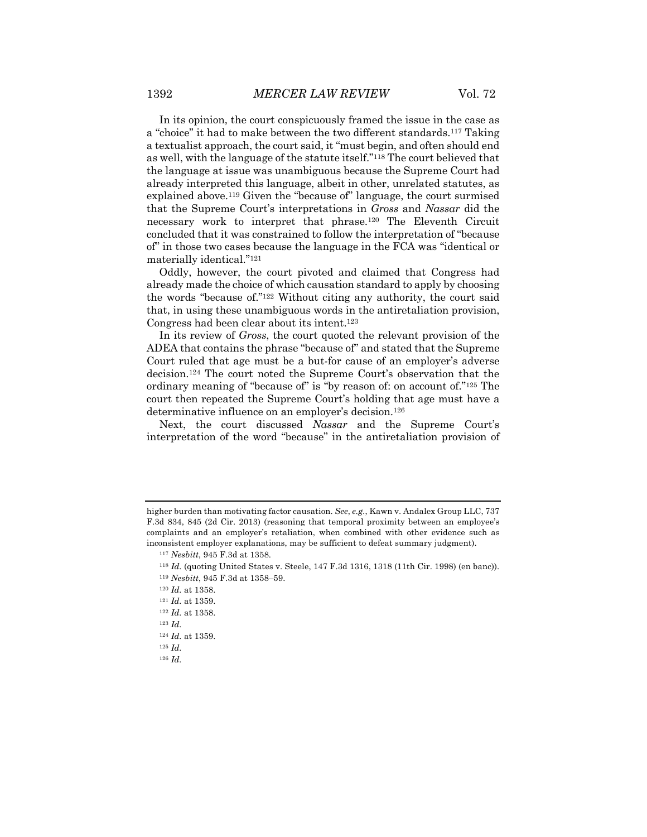In its opinion, the court conspicuously framed the issue in the case as a "choice" it had to make between the two different standards.117 Taking a textualist approach, the court said, it "must begin, and often should end as well, with the language of the statute itself."118 The court believed that the language at issue was unambiguous because the Supreme Court had already interpreted this language, albeit in other, unrelated statutes, as explained above.119 Given the "because of" language, the court surmised that the Supreme Court's interpretations in *Gross* and *Nassar* did the necessary work to interpret that phrase.120 The Eleventh Circuit concluded that it was constrained to follow the interpretation of "because of" in those two cases because the language in the FCA was "identical or materially identical."121

Oddly, however, the court pivoted and claimed that Congress had already made the choice of which causation standard to apply by choosing the words "because of."122 Without citing any authority, the court said that, in using these unambiguous words in the antiretaliation provision, Congress had been clear about its intent.123

In its review of *Gross*, the court quoted the relevant provision of the ADEA that contains the phrase "because of" and stated that the Supreme Court ruled that age must be a but-for cause of an employer's adverse decision.124 The court noted the Supreme Court's observation that the ordinary meaning of "because of" is "by reason of: on account of."125 The court then repeated the Supreme Court's holding that age must have a determinative influence on an employer's decision.126

Next, the court discussed *Nassar* and the Supreme Court's interpretation of the word "because" in the antiretaliation provision of

higher burden than motivating factor causation. *See*, *e.g.*, Kawn v. Andalex Group LLC, 737 F.3d 834, 845 (2d Cir. 2013) (reasoning that temporal proximity between an employee's complaints and an employer's retaliation, when combined with other evidence such as inconsistent employer explanations, may be sufficient to defeat summary judgment).

<sup>117</sup> *Nesbitt*, 945 F.3d at 1358.

<sup>118</sup> *Id.* (quoting United States v. Steele, 147 F.3d 1316, 1318 (11th Cir. 1998) (en banc)). <sup>119</sup> *Nesbitt*, 945 F.3d at 1358–59.

<sup>120</sup> *Id.* at 1358.

<sup>121</sup> *Id.* at 1359.

<sup>122</sup> *Id.* at 1358.

<sup>123</sup> *Id.*

<sup>124</sup> *Id.* at 1359.

<sup>125</sup> *Id.*

<sup>126</sup> *Id.*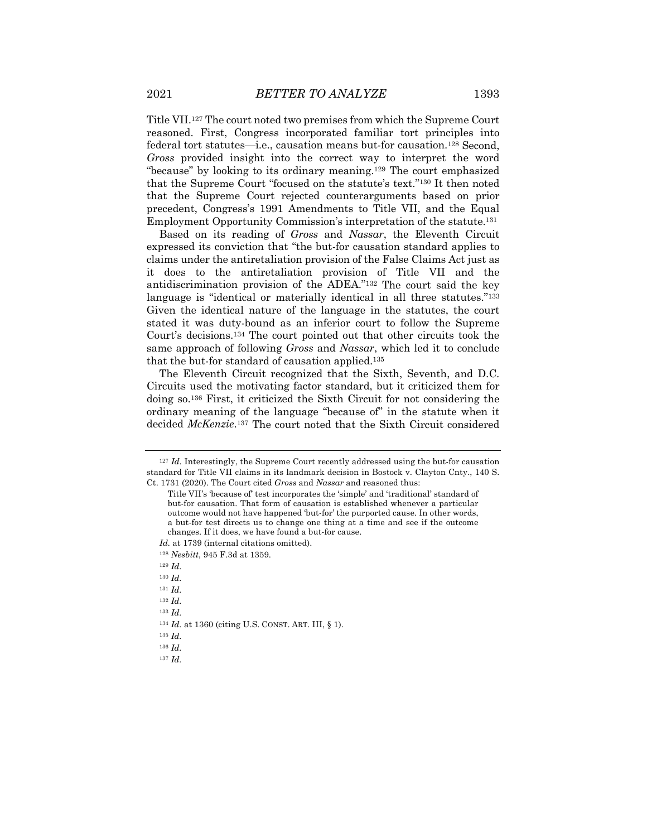Title VII.127 The court noted two premises from which the Supreme Court reasoned. First, Congress incorporated familiar tort principles into federal tort statutes—i.e., causation means but-for causation.128 Second, *Gross* provided insight into the correct way to interpret the word "because" by looking to its ordinary meaning.129 The court emphasized that the Supreme Court "focused on the statute's text."130 It then noted that the Supreme Court rejected counterarguments based on prior precedent, Congress's 1991 Amendments to Title VII, and the Equal Employment Opportunity Commission's interpretation of the statute.131

Based on its reading of *Gross* and *Nassar*, the Eleventh Circuit expressed its conviction that "the but-for causation standard applies to claims under the antiretaliation provision of the False Claims Act just as it does to the antiretaliation provision of Title VII and the antidiscrimination provision of the ADEA."132 The court said the key language is "identical or materially identical in all three statutes."133 Given the identical nature of the language in the statutes, the court stated it was duty-bound as an inferior court to follow the Supreme Court's decisions.134 The court pointed out that other circuits took the same approach of following *Gross* and *Nassar*, which led it to conclude that the but-for standard of causation applied.135

The Eleventh Circuit recognized that the Sixth, Seventh, and D.C. Circuits used the motivating factor standard, but it criticized them for doing so.136 First, it criticized the Sixth Circuit for not considering the ordinary meaning of the language "because of" in the statute when it decided *McKenzie*.137 The court noted that the Sixth Circuit considered

<sup>129</sup> *Id.*

<sup>130</sup> *Id.*

<sup>131</sup> *Id.*

<sup>132</sup> *Id.* 

<sup>133</sup> *Id.*

<sup>134</sup> *Id.* at 1360 (citing U.S. CONST. ART. III, § 1).

<sup>135</sup> *Id.*

<sup>136</sup> *Id.*

<sup>127</sup> *Id.* Interestingly, the Supreme Court recently addressed using the but-for causation standard for Title VII claims in its landmark decision in Bostock v. Clayton Cnty., 140 S. Ct. 1731 (2020). The Court cited *Gross* and *Nassar* and reasoned thus:

Title VII's 'because of' test incorporates the 'simple' and 'traditional' standard of but-for causation. That form of causation is established whenever a particular outcome would not have happened 'but-for' the purported cause. In other words, a but-for test directs us to change one thing at a time and see if the outcome changes. If it does, we have found a but-for cause.

*Id.* at 1739 (internal citations omitted).

<sup>128</sup> *Nesbitt*, 945 F.3d at 1359.

<sup>137</sup> *Id.*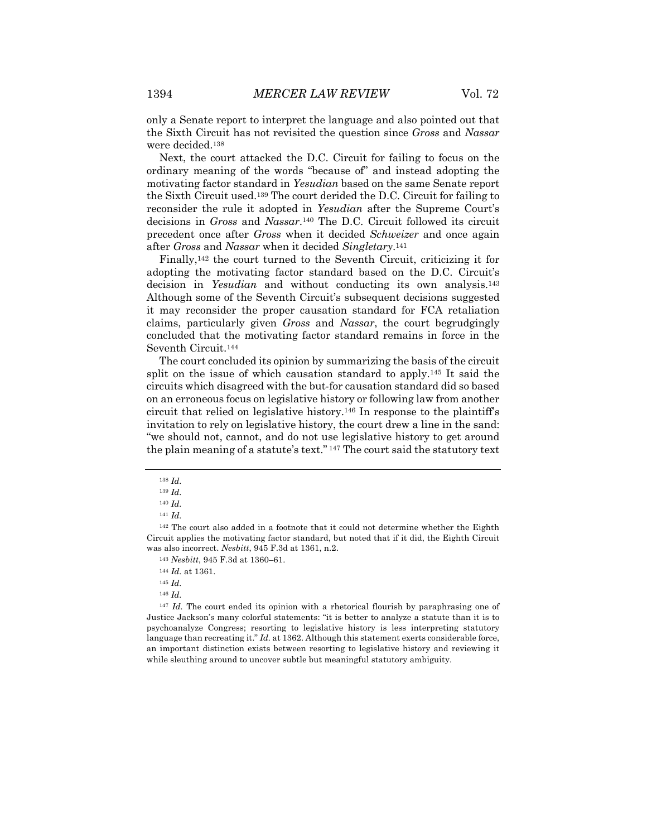only a Senate report to interpret the language and also pointed out that the Sixth Circuit has not revisited the question since *Gross* and *Nassar* were decided.138

Next, the court attacked the D.C. Circuit for failing to focus on the ordinary meaning of the words "because of" and instead adopting the motivating factor standard in *Yesudian* based on the same Senate report the Sixth Circuit used.139 The court derided the D.C. Circuit for failing to reconsider the rule it adopted in *Yesudian* after the Supreme Court's decisions in *Gross* and *Nassar*.140 The D.C. Circuit followed its circuit precedent once after *Gross* when it decided *Schweizer* and once again after *Gross* and *Nassar* when it decided *Singletary*.141

Finally,142 the court turned to the Seventh Circuit, criticizing it for adopting the motivating factor standard based on the D.C. Circuit's decision in *Yesudian* and without conducting its own analysis.143 Although some of the Seventh Circuit's subsequent decisions suggested it may reconsider the proper causation standard for FCA retaliation claims, particularly given *Gross* and *Nassar*, the court begrudgingly concluded that the motivating factor standard remains in force in the Seventh Circuit.144

The court concluded its opinion by summarizing the basis of the circuit split on the issue of which causation standard to apply.145 It said the circuits which disagreed with the but-for causation standard did so based on an erroneous focus on legislative history or following law from another circuit that relied on legislative history.146 In response to the plaintiff's invitation to rely on legislative history, the court drew a line in the sand: "we should not, cannot, and do not use legislative history to get around the plain meaning of a statute's text." <sup>147</sup> The court said the statutory text

<sup>146</sup> *Id.*

<sup>147</sup> *Id.* The court ended its opinion with a rhetorical flourish by paraphrasing one of Justice Jackson's many colorful statements: "it is better to analyze a statute than it is to psychoanalyze Congress; resorting to legislative history is less interpreting statutory language than recreating it." *Id.* at 1362. Although this statement exerts considerable force, an important distinction exists between resorting to legislative history and reviewing it while sleuthing around to uncover subtle but meaningful statutory ambiguity.

<sup>138</sup> *Id.*

<sup>139</sup> *Id.*

<sup>140</sup> *Id.*

<sup>141</sup> *Id.*

<sup>&</sup>lt;sup>142</sup> The court also added in a footnote that it could not determine whether the Eighth Circuit applies the motivating factor standard, but noted that if it did, the Eighth Circuit was also incorrect. *Nesbitt*, 945 F.3d at 1361, n.2.

<sup>143</sup> *Nesbitt*, 945 F.3d at 1360–61.

<sup>144</sup> *Id.* at 1361.

<sup>145</sup> *Id.*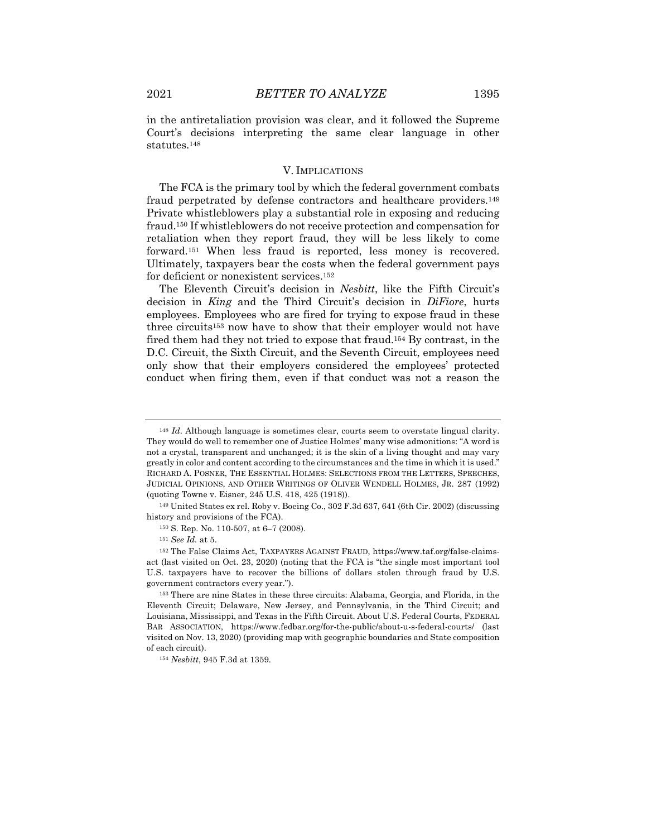in the antiretaliation provision was clear, and it followed the Supreme Court's decisions interpreting the same clear language in other statutes.148

### V. IMPLICATIONS

The FCA is the primary tool by which the federal government combats fraud perpetrated by defense contractors and healthcare providers.149 Private whistleblowers play a substantial role in exposing and reducing fraud.150 If whistleblowers do not receive protection and compensation for retaliation when they report fraud, they will be less likely to come forward.151 When less fraud is reported, less money is recovered. Ultimately, taxpayers bear the costs when the federal government pays for deficient or nonexistent services.<sup>152</sup>

The Eleventh Circuit's decision in *Nesbitt*, like the Fifth Circuit's decision in *King* and the Third Circuit's decision in *DiFiore*, hurts employees. Employees who are fired for trying to expose fraud in these three circuits<sup>153</sup> now have to show that their employer would not have fired them had they not tried to expose that fraud.154 By contrast, in the D.C. Circuit, the Sixth Circuit, and the Seventh Circuit, employees need only show that their employers considered the employees' protected conduct when firing them, even if that conduct was not a reason the

<sup>&</sup>lt;sup>148</sup> *Id.* Although language is sometimes clear, courts seem to overstate lingual clarity. They would do well to remember one of Justice Holmes' many wise admonitions: "A word is not a crystal, transparent and unchanged; it is the skin of a living thought and may vary greatly in color and content according to the circumstances and the time in which it is used." RICHARD A. POSNER, THE ESSENTIAL HOLMES: SELECTIONS FROM THE LETTERS, SPEECHES, JUDICIAL OPINIONS, AND OTHER WRITINGS OF OLIVER WENDELL HOLMES, JR. 287 (1992) (quoting Towne v. Eisner, 245 U.S. 418, 425 (1918)).

<sup>149</sup> United States ex rel. Roby v. Boeing Co., 302 F.3d 637, 641 (6th Cir. 2002) (discussing history and provisions of the FCA).

<sup>150</sup> S. Rep. No. 110-507, at 6–7 (2008).

<sup>151</sup> *See Id.* at 5.

<sup>152</sup> The False Claims Act, TAXPAYERS AGAINST FRAUD, https://www.taf.org/false-claimsact (last visited on Oct. 23, 2020) (noting that the FCA is "the single most important tool U.S. taxpayers have to recover the billions of dollars stolen through fraud by U.S. government contractors every year.").

<sup>153</sup> There are nine States in these three circuits: Alabama, Georgia, and Florida, in the Eleventh Circuit; Delaware, New Jersey, and Pennsylvania, in the Third Circuit; and Louisiana, Mississippi, and Texas in the Fifth Circuit. About U.S. Federal Courts, FEDERAL BAR ASSOCIATION, https://www.fedbar.org/for-the-public/about-u-s-federal-courts/ (last visited on Nov. 13, 2020) (providing map with geographic boundaries and State composition of each circuit).

<sup>154</sup> *Nesbitt*, 945 F.3d at 1359.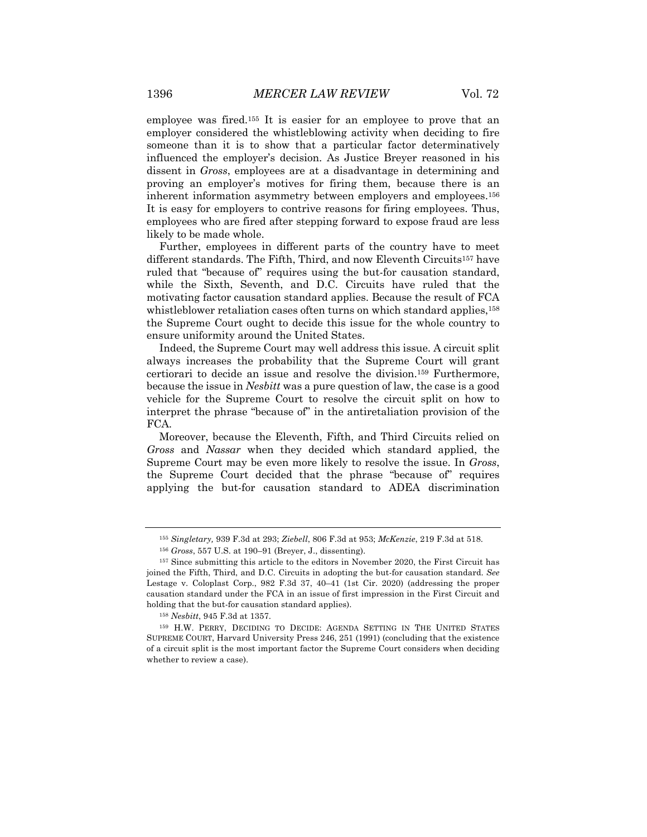employee was fired.155 It is easier for an employee to prove that an employer considered the whistleblowing activity when deciding to fire someone than it is to show that a particular factor determinatively influenced the employer's decision. As Justice Breyer reasoned in his dissent in *Gross*, employees are at a disadvantage in determining and proving an employer's motives for firing them, because there is an inherent information asymmetry between employers and employees.156 It is easy for employers to contrive reasons for firing employees. Thus, employees who are fired after stepping forward to expose fraud are less likely to be made whole.

Further, employees in different parts of the country have to meet different standards. The Fifth, Third, and now Eleventh Circuits157 have ruled that "because of" requires using the but-for causation standard, while the Sixth, Seventh, and D.C. Circuits have ruled that the motivating factor causation standard applies. Because the result of FCA whistleblower retaliation cases often turns on which standard applies,<sup>158</sup> the Supreme Court ought to decide this issue for the whole country to ensure uniformity around the United States.

Indeed, the Supreme Court may well address this issue. A circuit split always increases the probability that the Supreme Court will grant certiorari to decide an issue and resolve the division.159 Furthermore, because the issue in *Nesbitt* was a pure question of law, the case is a good vehicle for the Supreme Court to resolve the circuit split on how to interpret the phrase "because of" in the antiretaliation provision of the FCA.

Moreover, because the Eleventh, Fifth, and Third Circuits relied on *Gross* and *Nassar* when they decided which standard applied, the Supreme Court may be even more likely to resolve the issue. In *Gross*, the Supreme Court decided that the phrase "because of" requires applying the but-for causation standard to ADEA discrimination

<sup>155</sup> *Singletary,* 939 F.3d at 293; *Ziebell*, 806 F.3d at 953; *McKenzie*, 219 F.3d at 518.

<sup>156</sup> *Gross*, 557 U.S. at 190–91 (Breyer, J., dissenting).

<sup>157</sup> Since submitting this article to the editors in November 2020, the First Circuit has joined the Fifth, Third, and D.C. Circuits in adopting the but-for causation standard. *See* Lestage v. Coloplast Corp., 982 F.3d 37, 40–41 (1st Cir. 2020) (addressing the proper causation standard under the FCA in an issue of first impression in the First Circuit and holding that the but-for causation standard applies).

<sup>158</sup> *Nesbitt*, 945 F.3d at 1357.

<sup>159</sup> H.W. PERRY, DECIDING TO DECIDE: AGENDA SETTING IN THE UNITED STATES SUPREME COURT, Harvard University Press 246, 251 (1991) (concluding that the existence of a circuit split is the most important factor the Supreme Court considers when deciding whether to review a case).